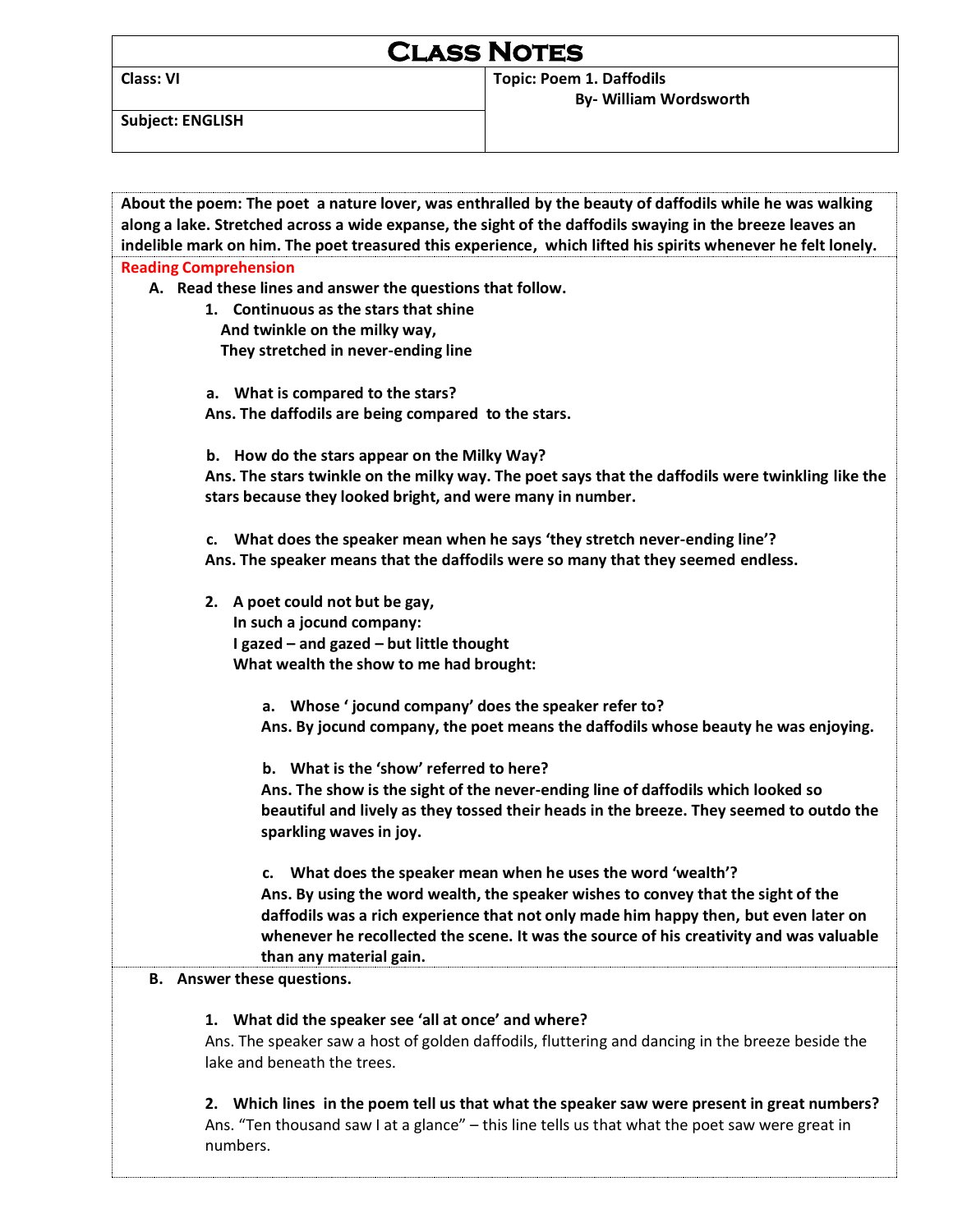# **Class Notes**

**Class: VI Topic: Poem 1. Daffodils By- William Wordsworth** 

**Subject: ENGLISH** 

| About the poem: The poet a nature lover, was enthralled by the beauty of daffodils while he was walking      |  |  |
|--------------------------------------------------------------------------------------------------------------|--|--|
| along a lake. Stretched across a wide expanse, the sight of the daffodils swaying in the breeze leaves an    |  |  |
| indelible mark on him. The poet treasured this experience, which lifted his spirits whenever he felt lonely. |  |  |
| <b>Reading Comprehension</b>                                                                                 |  |  |
| A. Read these lines and answer the questions that follow.                                                    |  |  |
| 1. Continuous as the stars that shine                                                                        |  |  |
| And twinkle on the milky way,                                                                                |  |  |
| They stretched in never-ending line                                                                          |  |  |
|                                                                                                              |  |  |
| a. What is compared to the stars?                                                                            |  |  |
| Ans. The daffodils are being compared to the stars.                                                          |  |  |
|                                                                                                              |  |  |
| b. How do the stars appear on the Milky Way?                                                                 |  |  |
| Ans. The stars twinkle on the milky way. The poet says that the daffodils were twinkling like the            |  |  |
| stars because they looked bright, and were many in number.                                                   |  |  |
|                                                                                                              |  |  |
| c. What does the speaker mean when he says 'they stretch never-ending line'?                                 |  |  |
| Ans. The speaker means that the daffodils were so many that they seemed endless.                             |  |  |
|                                                                                                              |  |  |
| 2. A poet could not but be gay,                                                                              |  |  |
| In such a jocund company:                                                                                    |  |  |
| I gazed - and gazed - but little thought                                                                     |  |  |
| What wealth the show to me had brought:                                                                      |  |  |
|                                                                                                              |  |  |
| a. Whose 'jocund company' does the speaker refer to?                                                         |  |  |
| Ans. By jocund company, the poet means the daffodils whose beauty he was enjoying.                           |  |  |
|                                                                                                              |  |  |
| b. What is the 'show' referred to here?                                                                      |  |  |
| Ans. The show is the sight of the never-ending line of daffodils which looked so                             |  |  |
|                                                                                                              |  |  |
| beautiful and lively as they tossed their heads in the breeze. They seemed to outdo the                      |  |  |
| sparkling waves in joy.                                                                                      |  |  |
|                                                                                                              |  |  |
| c. What does the speaker mean when he uses the word 'wealth'?                                                |  |  |
| Ans. By using the word wealth, the speaker wishes to convey that the sight of the                            |  |  |
| daffodils was a rich experience that not only made him happy then, but even later on                         |  |  |
| whenever he recollected the scene. It was the source of his creativity and was valuable                      |  |  |
| than any material gain.                                                                                      |  |  |
| <b>B.</b> Answer these questions.                                                                            |  |  |
|                                                                                                              |  |  |
| 1. What did the speaker see 'all at once' and where?                                                         |  |  |
| Ans. The speaker saw a host of golden daffodils, fluttering and dancing in the breeze beside the             |  |  |
| lake and beneath the trees.                                                                                  |  |  |
|                                                                                                              |  |  |
| 2. Which lines in the poem tell us that what the speaker saw were present in great numbers?                  |  |  |
| Ans. "Ten thousand saw I at a glance" - this line tells us that what the poet saw were great in              |  |  |
| numbers.                                                                                                     |  |  |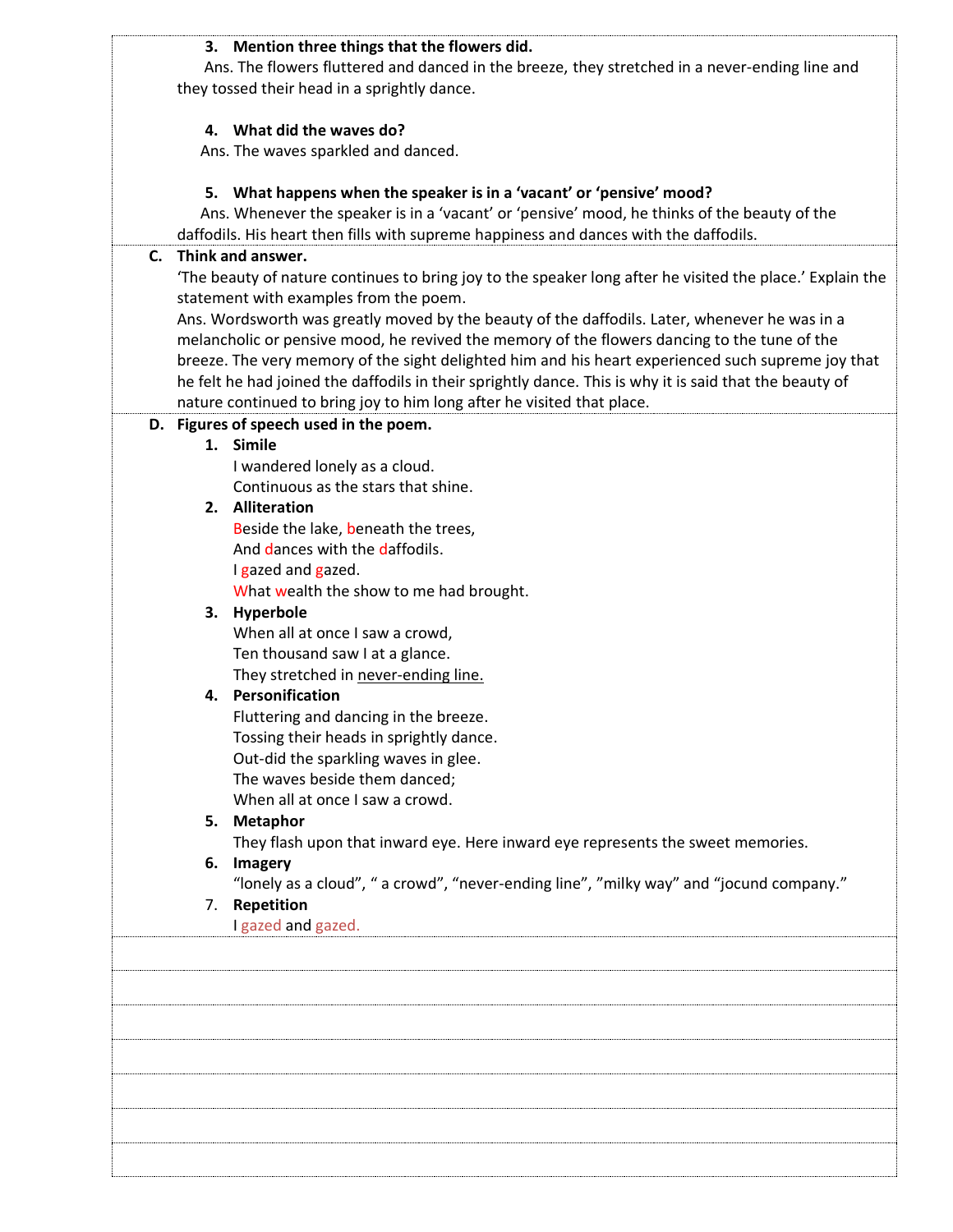#### **3. Mention three things that the flowers did.**

 Ans. The flowers fluttered and danced in the breeze, they stretched in a never-ending line and they tossed their head in a sprightly dance.

#### **4. What did the waves do?**

Ans. The waves sparkled and danced.

#### **5. What happens when the speaker is in a 'vacant' or 'pensive' mood?**

 Ans. Whenever the speaker is in a 'vacant' or 'pensive' mood, he thinks of the beauty of the daffodils. His heart then fills with supreme happiness and dances with the daffodils.

# **C. Think and answer.**

'The beauty of nature continues to bring joy to the speaker long after he visited the place.' Explain the statement with examples from the poem.

Ans. Wordsworth was greatly moved by the beauty of the daffodils. Later, whenever he was in a melancholic or pensive mood, he revived the memory of the flowers dancing to the tune of the breeze. The very memory of the sight delighted him and his heart experienced such supreme joy that he felt he had joined the daffodils in their sprightly dance. This is why it is said that the beauty of nature continued to bring joy to him long after he visited that place.

## **D. Figures of speech used in the poem.**

#### **1. Simile**

I wandered lonely as a cloud. Continuous as the stars that shine.

#### **2. Alliteration**

Beside the lake, beneath the trees, And dances with the daffodils. I gazed and gazed.

What wealth the show to me had brought.

#### **3. Hyperbole**

When all at once I saw a crowd, Ten thousand saw I at a glance. They stretched in never-ending line.

#### **4. Personification**

Fluttering and dancing in the breeze. Tossing their heads in sprightly dance. Out-did the sparkling waves in glee. The waves beside them danced; When all at once I saw a crowd.

# **5. Metaphor**

They flash upon that inward eye. Here inward eye represents the sweet memories.

# **6. Imagery**

"lonely as a cloud", " a crowd", "never-ending line", "milky way" and "jocund company."

#### 7. **Repetition**

I gazed and gazed.